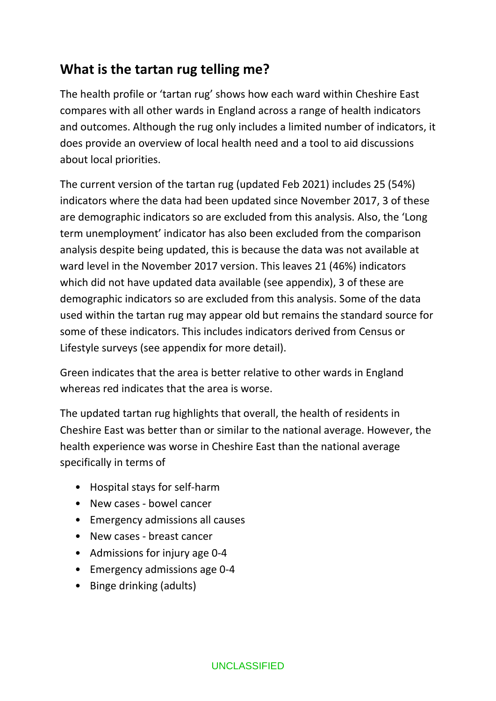# **What is the tartan rug telling me?**

The health profile or 'tartan rug' shows how each ward within Cheshire East compares with all other wards in England across a range of health indicators and outcomes. Although the rug only includes a limited number of indicators, it does provide an overview of local health need and a tool to aid discussions about local priorities.

The current version of the tartan rug (updated Feb 2021) includes 25 (54%) indicators where the data had been updated since November 2017, 3 of these are demographic indicators so are excluded from this analysis. Also, the 'Long term unemployment' indicator has also been excluded from the comparison analysis despite being updated, this is because the data was not available at ward level in the November 2017 version. This leaves 21 (46%) indicators which did not have updated data available (see appendix), 3 of these are demographic indicators so are excluded from this analysis. Some of the data used within the tartan rug may appear old but remains the standard source for some of these indicators. This includes indicators derived from Census or Lifestyle surveys (see appendix for more detail).

Green indicates that the area is better relative to other wards in England whereas red indicates that the area is worse.

The updated tartan rug highlights that overall, the health of residents in Cheshire East was better than or similar to the national average. However, the health experience was worse in Cheshire East than the national average specifically in terms of

- Hospital stays for self-harm
- New cases bowel cancer
- Emergency admissions all causes
- New cases breast cancer
- Admissions for injury age 0-4
- Emergency admissions age 0-4
- Binge drinking (adults)

#### UNCLASSIFIED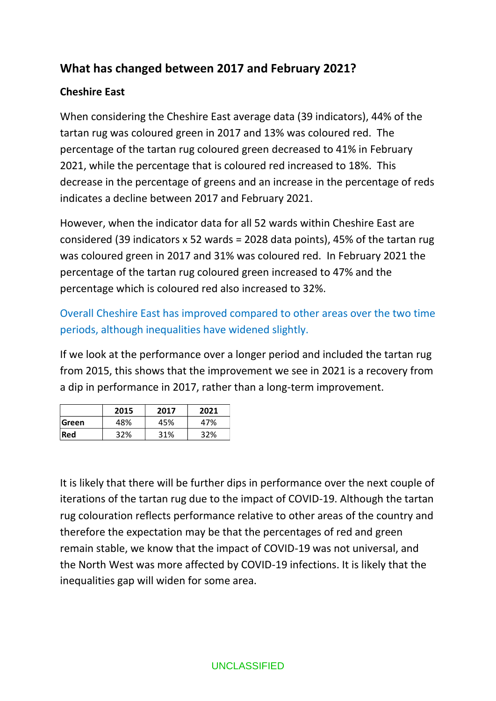## **What has changed between 2017 and February 2021?**

## **Cheshire East**

When considering the Cheshire East average data (39 indicators), 44% of the tartan rug was coloured green in 2017 and 13% was coloured red. The percentage of the tartan rug coloured green decreased to 41% in February 2021, while the percentage that is coloured red increased to 18%. This decrease in the percentage of greens and an increase in the percentage of reds indicates a decline between 2017 and February 2021.

However, when the indicator data for all 52 wards within Cheshire East are considered (39 indicators x 52 wards = 2028 data points), 45% of the tartan rug was coloured green in 2017 and 31% was coloured red. In February 2021 the percentage of the tartan rug coloured green increased to 47% and the percentage which is coloured red also increased to 32%.

Overall Cheshire East has improved compared to other areas over the two time periods, although inequalities have widened slightly.

If we look at the performance over a longer period and included the tartan rug from 2015, this shows that the improvement we see in 2021 is a recovery from a dip in performance in 2017, rather than a long-term improvement.

|              | 2015 | 2017 | 2021 |
|--------------|------|------|------|
| <b>Green</b> | 48%  | 45%  | 47%  |
| <b>Red</b>   | 32%  | 31%  | 32%  |

It is likely that there will be further dips in performance over the next couple of iterations of the tartan rug due to the impact of COVID-19. Although the tartan rug colouration reflects performance relative to other areas of the country and therefore the expectation may be that the percentages of red and green remain stable, we know that the impact of COVID-19 was not universal, and the North West was more affected by COVID-19 infections. It is likely that the inequalities gap will widen for some area.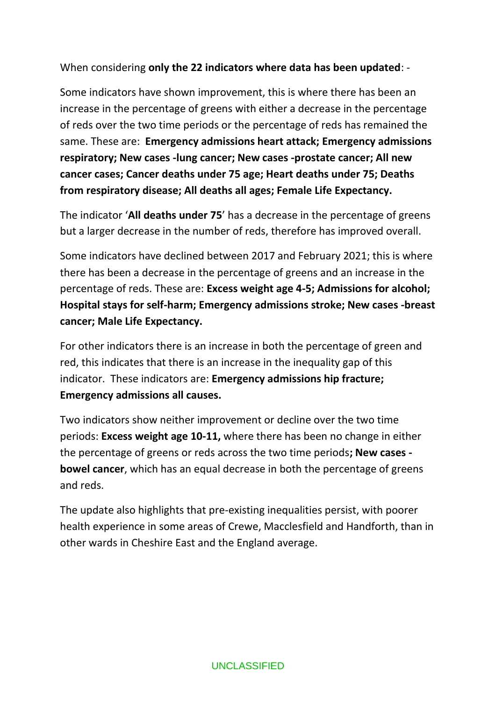When considering **only the 22 indicators where data has been updated**: -

Some indicators have shown improvement, this is where there has been an increase in the percentage of greens with either a decrease in the percentage of reds over the two time periods or the percentage of reds has remained the same. These are: **Emergency admissions heart attack; Emergency admissions respiratory; New cases -lung cancer; New cases -prostate cancer; All new cancer cases; Cancer deaths under 75 age; Heart deaths under 75; Deaths from respiratory disease; All deaths all ages; Female Life Expectancy.** 

The indicator '**All deaths under 75**' has a decrease in the percentage of greens but a larger decrease in the number of reds, therefore has improved overall.

Some indicators have declined between 2017 and February 2021; this is where there has been a decrease in the percentage of greens and an increase in the percentage of reds. These are: **Excess weight age 4-5; Admissions for alcohol; Hospital stays for self-harm; Emergency admissions stroke; New cases -breast cancer; Male Life Expectancy.**

For other indicators there is an increase in both the percentage of green and red, this indicates that there is an increase in the inequality gap of this indicator. These indicators are: **Emergency admissions hip fracture; Emergency admissions all causes.**

Two indicators show neither improvement or decline over the two time periods: **Excess weight age 10-11,** where there has been no change in either the percentage of greens or reds across the two time periods**; New cases bowel cancer**, which has an equal decrease in both the percentage of greens and reds.

The update also highlights that pre-existing inequalities persist, with poorer health experience in some areas of Crewe, Macclesfield and Handforth, than in other wards in Cheshire East and the England average.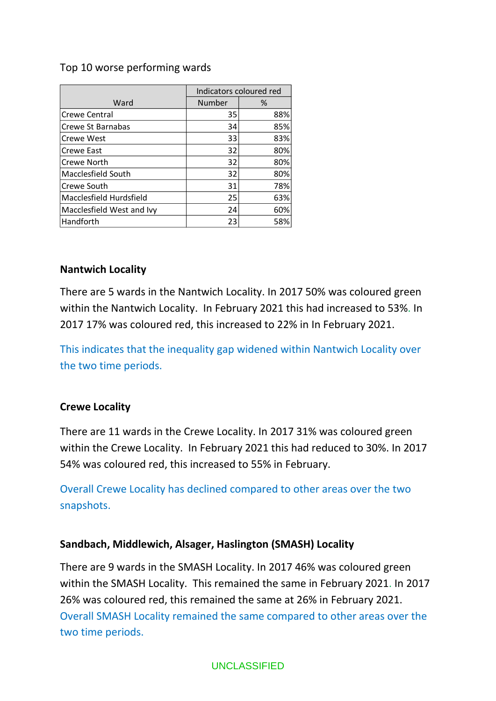## Top 10 worse performing wards

|                           | Indicators coloured red |     |
|---------------------------|-------------------------|-----|
| Ward                      | Number                  | %   |
| Crewe Central             | 35                      | 88% |
| Crewe St Barnabas         | 34                      | 85% |
| <b>Crewe West</b>         | 33                      | 83% |
| Crewe East                | 32                      | 80% |
| Crewe North               | 32                      | 80% |
| Macclesfield South        | 32                      | 80% |
| Crewe South               | 31                      | 78% |
| Macclesfield Hurdsfield   | 25                      | 63% |
| Macclesfield West and Ivy | 24                      | 60% |
| Handforth                 | 23                      | 58% |

#### **Nantwich Locality**

There are 5 wards in the Nantwich Locality. In 2017 50% was coloured green within the Nantwich Locality. In February 2021 this had increased to 53%. In 2017 17% was coloured red, this increased to 22% in In February 2021.

This indicates that the inequality gap widened within Nantwich Locality over the two time periods.

## **Crewe Locality**

There are 11 wards in the Crewe Locality. In 2017 31% was coloured green within the Crewe Locality. In February 2021 this had reduced to 30%. In 2017 54% was coloured red, this increased to 55% in February.

Overall Crewe Locality has declined compared to other areas over the two snapshots.

## **Sandbach, Middlewich, Alsager, Haslington (SMASH) Locality**

There are 9 wards in the SMASH Locality. In 2017 46% was coloured green within the SMASH Locality. This remained the same in February 2021. In 2017 26% was coloured red, this remained the same at 26% in February 2021. Overall SMASH Locality remained the same compared to other areas over the two time periods.

#### UNCLASSIFIED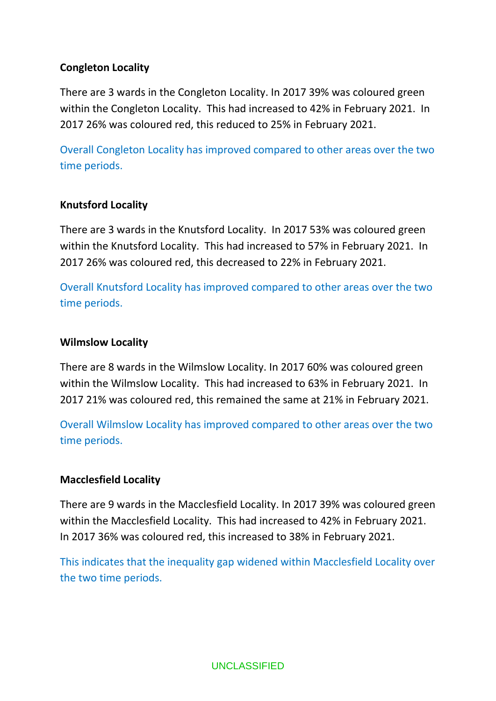## **Congleton Locality**

There are 3 wards in the Congleton Locality. In 2017 39% was coloured green within the Congleton Locality. This had increased to 42% in February 2021. In 2017 26% was coloured red, this reduced to 25% in February 2021.

Overall Congleton Locality has improved compared to other areas over the two time periods.

## **Knutsford Locality**

There are 3 wards in the Knutsford Locality. In 2017 53% was coloured green within the Knutsford Locality. This had increased to 57% in February 2021. In 2017 26% was coloured red, this decreased to 22% in February 2021.

Overall Knutsford Locality has improved compared to other areas over the two time periods.

#### **Wilmslow Locality**

There are 8 wards in the Wilmslow Locality. In 2017 60% was coloured green within the Wilmslow Locality. This had increased to 63% in February 2021. In 2017 21% was coloured red, this remained the same at 21% in February 2021.

Overall Wilmslow Locality has improved compared to other areas over the two time periods.

## **Macclesfield Locality**

There are 9 wards in the Macclesfield Locality. In 2017 39% was coloured green within the Macclesfield Locality. This had increased to 42% in February 2021. In 2017 36% was coloured red, this increased to 38% in February 2021.

This indicates that the inequality gap widened within Macclesfield Locality over the two time periods.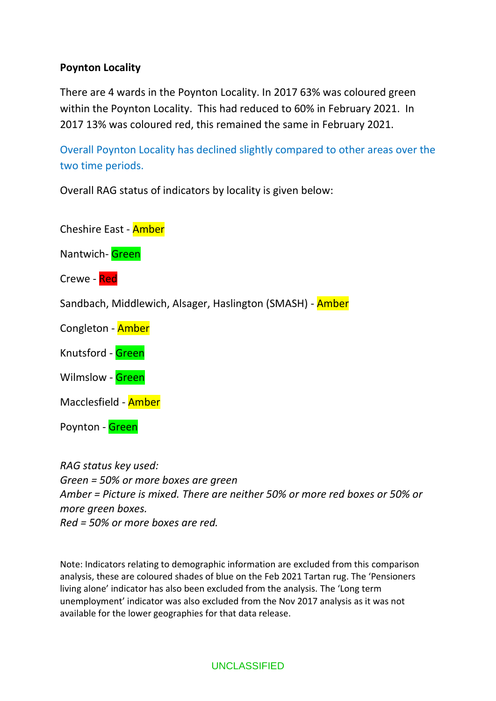## **Poynton Locality**

There are 4 wards in the Poynton Locality. In 2017 63% was coloured green within the Poynton Locality. This had reduced to 60% in February 2021. In 2017 13% was coloured red, this remained the same in February 2021.

Overall Poynton Locality has declined slightly compared to other areas over the two time periods.

Overall RAG status of indicators by locality is given below:

Cheshire East - Amber

Nantwich- Green

Crewe - Red

Sandbach, Middlewich, Alsager, Haslington (SMASH) - Amber

Congleton - Amber

- Knutsford Green
- Wilmslow Green

Macclesfield - Amber

Poynton - Green

*RAG status key used: Green = 50% or more boxes are green Amber = Picture is mixed. There are neither 50% or more red boxes or 50% or more green boxes. Red = 50% or more boxes are red.*

Note: Indicators relating to demographic information are excluded from this comparison analysis, these are coloured shades of blue on the Feb 2021 Tartan rug. The 'Pensioners living alone' indicator has also been excluded from the analysis. The 'Long term unemployment' indicator was also excluded from the Nov 2017 analysis as it was not available for the lower geographies for that data release.

UNCLASSIFIED